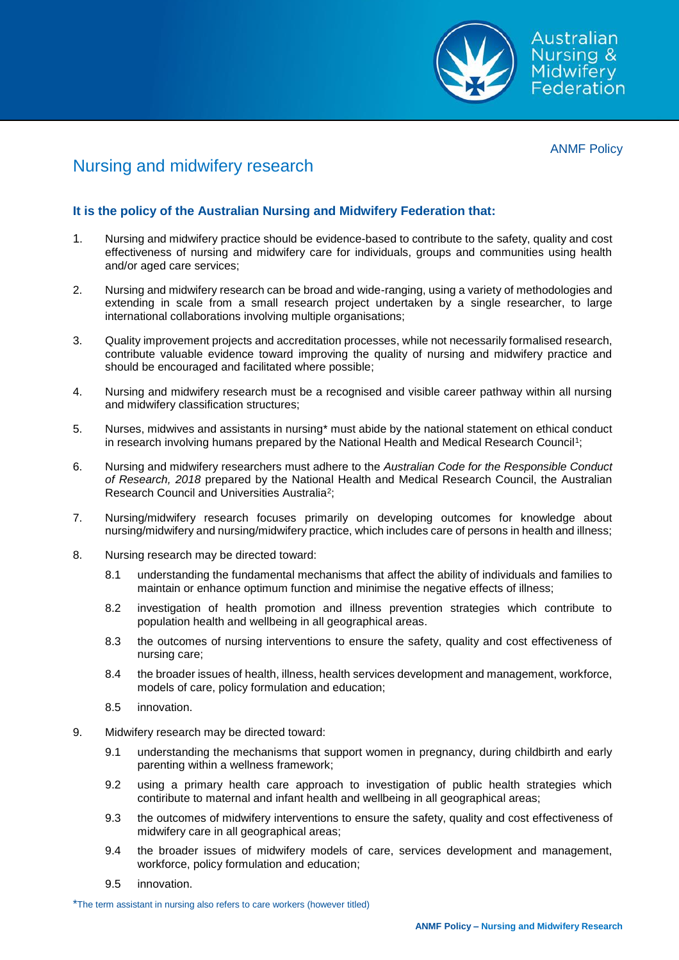

ANMF Policy

## Nursing and midwifery research

## **It is the policy of the Australian Nursing and Midwifery Federation that:**

- 1. Nursing and midwifery practice should be evidence-based to contribute to the safety, quality and cost effectiveness of nursing and midwifery care for individuals, groups and communities using health and/or aged care services;
- 2. Nursing and midwifery research can be broad and wide-ranging, using a variety of methodologies and extending in scale from a small research project undertaken by a single researcher, to large international collaborations involving multiple organisations;
- 3. Quality improvement projects and accreditation processes, while not necessarily formalised research, contribute valuable evidence toward improving the quality of nursing and midwifery practice and should be encouraged and facilitated where possible;
- 4. Nursing and midwifery research must be a recognised and visible career pathway within all nursing and midwifery classification structures;
- 5. Nurses, midwives and assistants in nursing\* must abide by the national statement on ethical conduct in research involving humans prepared by the National Health and Medical Research Council<sup>1</sup>;
- 6. Nursing and midwifery researchers must adhere to the *Australian Code for the Responsible Conduct of Research, 2018* prepared by the National Health and Medical Research Council, the Australian Research Council and Universities Australia<sup>2</sup>;
- 7. Nursing/midwifery research focuses primarily on developing outcomes for knowledge about nursing/midwifery and nursing/midwifery practice, which includes care of persons in health and illness;
- 8. Nursing research may be directed toward:
	- 8.1 understanding the fundamental mechanisms that affect the ability of individuals and families to maintain or enhance optimum function and minimise the negative effects of illness;
	- 8.2 investigation of health promotion and illness prevention strategies which contribute to population health and wellbeing in all geographical areas.
	- 8.3 the outcomes of nursing interventions to ensure the safety, quality and cost effectiveness of nursing care;
	- 8.4 the broader issues of health, illness, health services development and management, workforce, models of care, policy formulation and education;
	- 8.5 innovation.
- 9. Midwifery research may be directed toward:
	- 9.1 understanding the mechanisms that support women in pregnancy, during childbirth and early parenting within a wellness framework;
	- 9.2 using a primary health care approach to investigation of public health strategies which contiribute to maternal and infant health and wellbeing in all geographical areas;
	- 9.3 the outcomes of midwifery interventions to ensure the safety, quality and cost effectiveness of midwifery care in all geographical areas;
	- 9.4 the broader issues of midwifery models of care, services development and management, workforce, policy formulation and education;
	- 9.5 innovation.

\*The term assistant in nursing also refers to care workers (however titled)